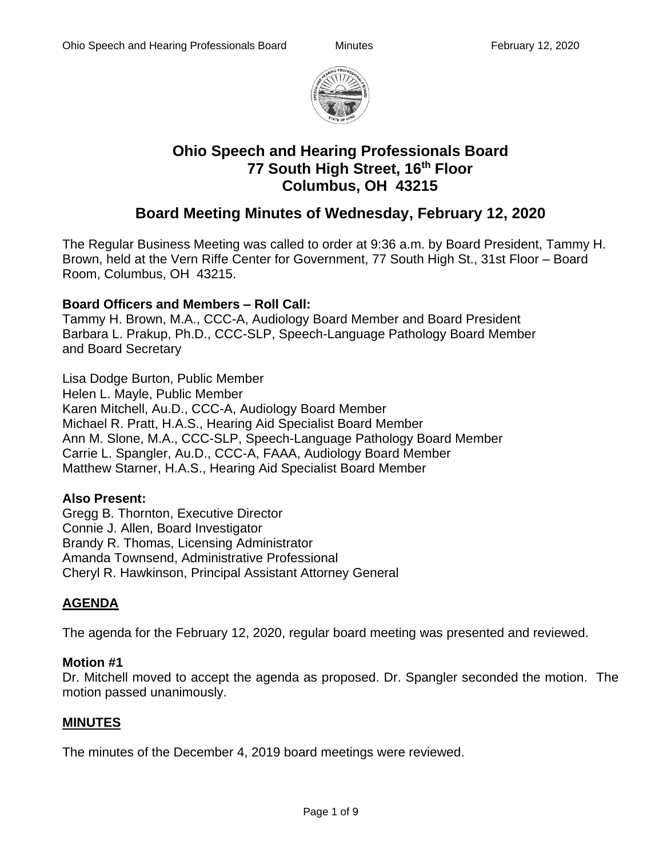

# **Ohio Speech and Hearing Professionals Board 77 South High Street, 16th Floor Columbus, OH 43215**

# **Board Meeting Minutes of Wednesday, February 12, 2020**

The Regular Business Meeting was called to order at 9:36 a.m. by Board President, Tammy H. Brown, held at the Vern Riffe Center for Government, 77 South High St., 31st Floor – Board Room, Columbus, OH 43215.

## **Board Officers and Members – Roll Call:**

Tammy H. Brown, M.A., CCC-A, Audiology Board Member and Board President Barbara L. Prakup, Ph.D., CCC-SLP, Speech-Language Pathology Board Member and Board Secretary

Lisa Dodge Burton, Public Member Helen L. Mayle, Public Member Karen Mitchell, Au.D., CCC-A, Audiology Board Member Michael R. Pratt, H.A.S., Hearing Aid Specialist Board Member

Ann M. Slone, M.A., CCC-SLP, Speech-Language Pathology Board Member

Carrie L. Spangler, Au.D., CCC-A, FAAA, Audiology Board Member

Matthew Starner, H.A.S., Hearing Aid Specialist Board Member

# **Also Present:**

Gregg B. Thornton, Executive Director Connie J. Allen, Board Investigator Brandy R. Thomas, Licensing Administrator Amanda Townsend, Administrative Professional Cheryl R. Hawkinson, Principal Assistant Attorney General

# **AGENDA**

The agenda for the February 12, 2020, regular board meeting was presented and reviewed.

## **Motion #1**

Dr. Mitchell moved to accept the agenda as proposed. Dr. Spangler seconded the motion. The motion passed unanimously.

# **MINUTES**

The minutes of the December 4, 2019 board meetings were reviewed.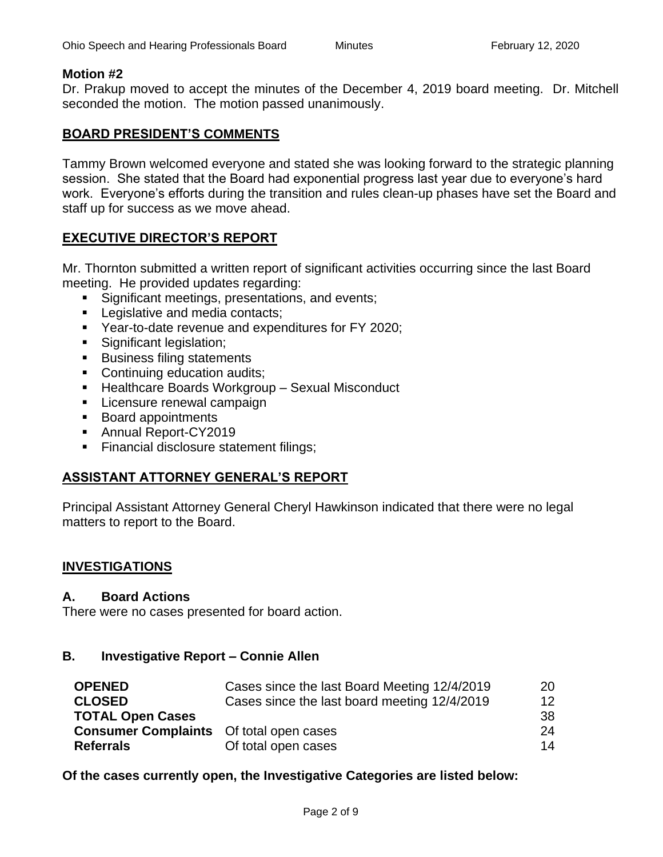#### **Motion #2**

Dr. Prakup moved to accept the minutes of the December 4, 2019 board meeting. Dr. Mitchell seconded the motion. The motion passed unanimously.

## **BOARD PRESIDENT'S COMMENTS**

Tammy Brown welcomed everyone and stated she was looking forward to the strategic planning session. She stated that the Board had exponential progress last year due to everyone's hard work. Everyone's efforts during the transition and rules clean-up phases have set the Board and staff up for success as we move ahead.

## **EXECUTIVE DIRECTOR'S REPORT**

Mr. Thornton submitted a written report of significant activities occurring since the last Board meeting. He provided updates regarding:

- Significant meetings, presentations, and events;
- Legislative and media contacts;
- Year-to-date revenue and expenditures for FY 2020;
- **·** Significant legislation;
- Business filing statements
- Continuing education audits;
- Healthcare Boards Workgroup Sexual Misconduct
- Licensure renewal campaign
- Board appointments
- Annual Report-CY2019
- **Example 1** Financial disclosure statement filings;

## **ASSISTANT ATTORNEY GENERAL'S REPORT**

Principal Assistant Attorney General Cheryl Hawkinson indicated that there were no legal matters to report to the Board.

## **INVESTIGATIONS**

#### **A. Board Actions**

There were no cases presented for board action.

## **B. Investigative Report – Connie Allen**

| <b>OPENED</b>                                  | Cases since the last Board Meeting 12/4/2019 | 20 |
|------------------------------------------------|----------------------------------------------|----|
| <b>CLOSED</b>                                  | Cases since the last board meeting 12/4/2019 | 12 |
| <b>TOTAL Open Cases</b>                        |                                              | 38 |
| <b>Consumer Complaints</b> Of total open cases |                                              | 24 |
| <b>Referrals</b>                               | Of total open cases                          | 14 |

**Of the cases currently open, the Investigative Categories are listed below:**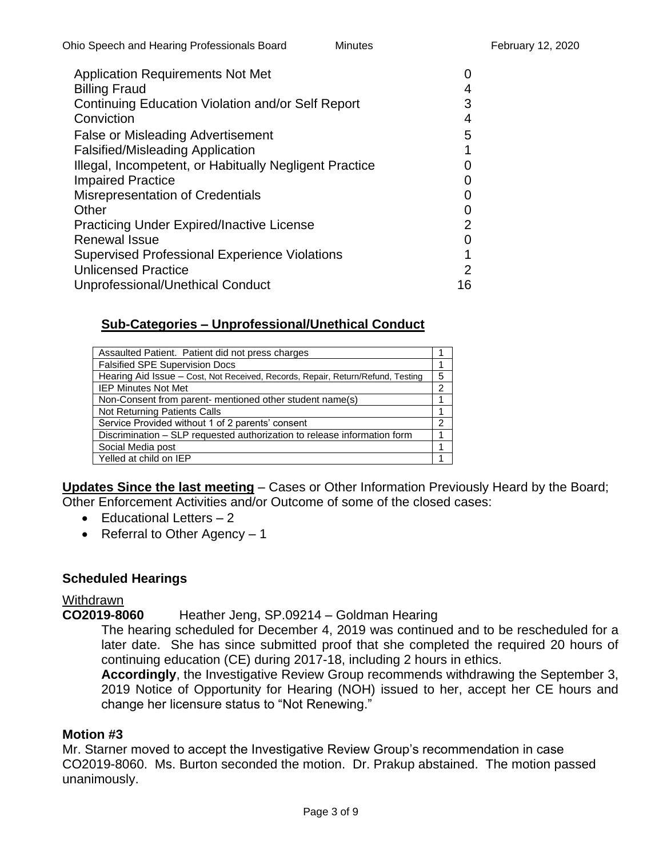| <b>Application Requirements Not Met</b><br><b>Billing Fraud</b> | 4             |
|-----------------------------------------------------------------|---------------|
| Continuing Education Violation and/or Self Report               | 3             |
| Conviction                                                      | 4             |
| <b>False or Misleading Advertisement</b>                        | 5             |
| <b>Falsified/Misleading Application</b>                         | 1             |
| Illegal, Incompetent, or Habitually Negligent Practice          | $\mathbf{O}$  |
| <b>Impaired Practice</b>                                        | $\mathcal{L}$ |
| Misrepresentation of Credentials                                | 0             |
| Other                                                           | $\mathcal{L}$ |
| <b>Practicing Under Expired/Inactive License</b>                | 2             |
| <b>Renewal Issue</b>                                            | 0             |
| <b>Supervised Professional Experience Violations</b>            | 1             |
| <b>Unlicensed Practice</b>                                      | $\mathcal{P}$ |
| Unprofessional/Unethical Conduct                                | 16            |

# **Sub-Categories – Unprofessional/Unethical Conduct**

| Assaulted Patient. Patient did not press charges                                |   |
|---------------------------------------------------------------------------------|---|
| <b>Falsified SPE Supervision Docs</b>                                           |   |
| Hearing Aid Issue - Cost, Not Received, Records, Repair, Return/Refund, Testing | 5 |
| <b>IEP Minutes Not Met</b>                                                      | 2 |
| Non-Consent from parent- mentioned other student name(s)                        |   |
| Not Returning Patients Calls                                                    |   |
| Service Provided without 1 of 2 parents' consent                                | 2 |
| Discrimination - SLP requested authorization to release information form        |   |
| Social Media post                                                               |   |
| Yelled at child on IEP                                                          |   |

**Updates Since the last meeting** – Cases or Other Information Previously Heard by the Board; Other Enforcement Activities and/or Outcome of some of the closed cases:

- $\bullet$  Educational Letters  $-2$
- Referral to Other Agency 1

## **Scheduled Hearings**

## **Withdrawn**

**CO2019-8060** Heather Jeng, SP.09214 – Goldman Hearing

The hearing scheduled for December 4, 2019 was continued and to be rescheduled for a later date. She has since submitted proof that she completed the required 20 hours of continuing education (CE) during 2017-18, including 2 hours in ethics.

**Accordingly**, the Investigative Review Group recommends withdrawing the September 3, 2019 Notice of Opportunity for Hearing (NOH) issued to her, accept her CE hours and change her licensure status to "Not Renewing."

## **Motion #3**

Mr. Starner moved to accept the Investigative Review Group's recommendation in case CO2019-8060. Ms. Burton seconded the motion. Dr. Prakup abstained. The motion passed unanimously.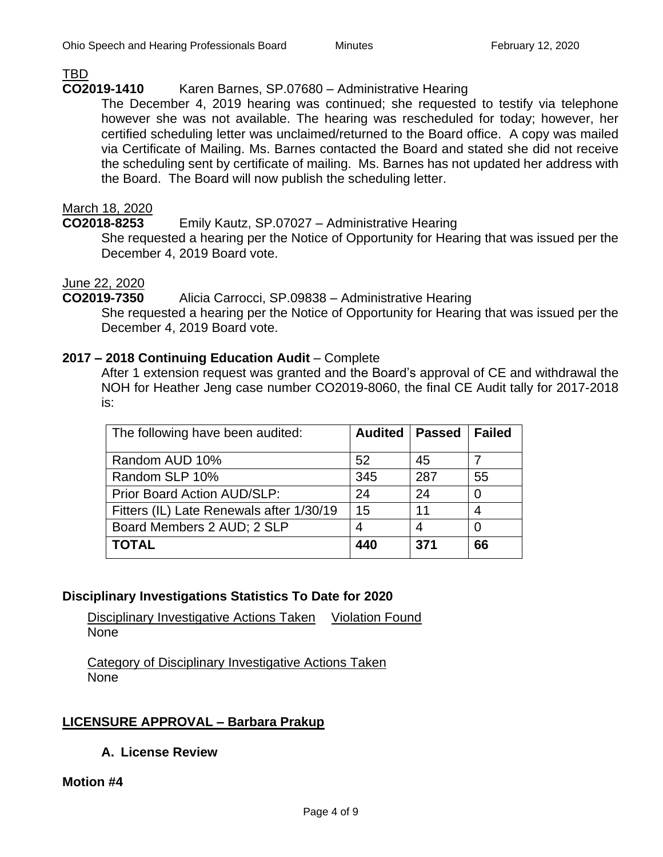## TBD

## **CO2019-1410** Karen Barnes, SP.07680 – Administrative Hearing

The December 4, 2019 hearing was continued; she requested to testify via telephone however she was not available. The hearing was rescheduled for today; however, her certified scheduling letter was unclaimed/returned to the Board office. A copy was mailed via Certificate of Mailing. Ms. Barnes contacted the Board and stated she did not receive the scheduling sent by certificate of mailing. Ms. Barnes has not updated her address with the Board. The Board will now publish the scheduling letter.

## March 18, 2020

**CO2018-8253** Emily Kautz, SP.07027 – Administrative Hearing

She requested a hearing per the Notice of Opportunity for Hearing that was issued per the December 4, 2019 Board vote.

## June 22, 2020

## **CO2019-7350** Alicia Carrocci, SP.09838 – Administrative Hearing

She requested a hearing per the Notice of Opportunity for Hearing that was issued per the December 4, 2019 Board vote.

#### **2017 – 2018 Continuing Education Audit** – Complete

After 1 extension request was granted and the Board's approval of CE and withdrawal the NOH for Heather Jeng case number CO2019-8060, the final CE Audit tally for 2017-2018 is:

| The following have been audited:         | <b>Audited   Passed</b> |     | <b>Failed</b> |
|------------------------------------------|-------------------------|-----|---------------|
| Random AUD 10%                           | 52                      | 45  |               |
| Random SLP 10%                           | 345                     | 287 | 55            |
| Prior Board Action AUD/SLP:              | 24                      | 24  | 0             |
| Fitters (IL) Late Renewals after 1/30/19 | 15                      | 11  | 4             |
| Board Members 2 AUD; 2 SLP               | 4                       | 4   | 0             |
| <b>TOTAL</b>                             | 440                     | 371 | 66            |

# **Disciplinary Investigations Statistics To Date for 2020**

Disciplinary Investigative Actions Taken Violation Found None

Category of Disciplinary Investigative Actions Taken None

# **LICENSURE APPROVAL – Barbara Prakup**

**A. License Review**

#### **Motion #4**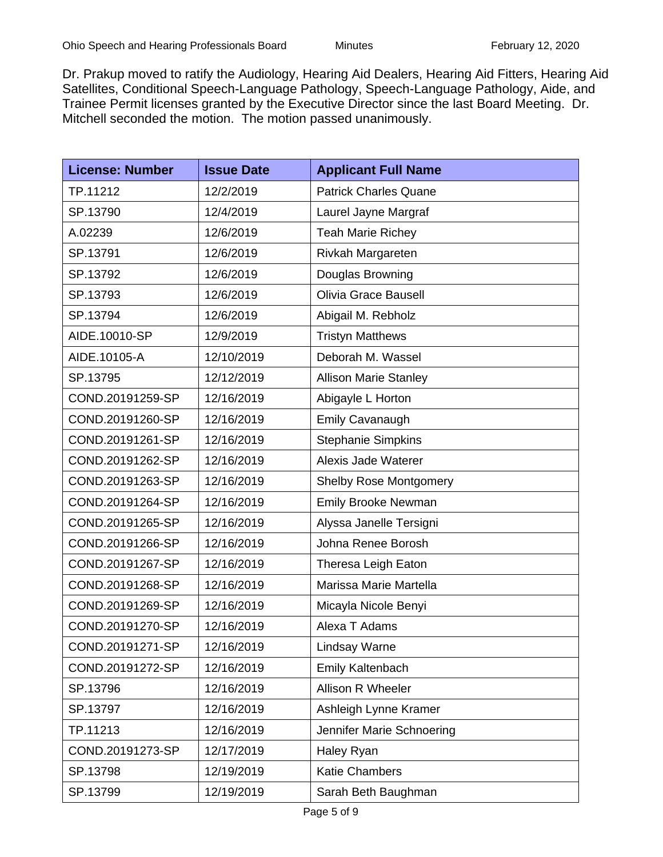Dr. Prakup moved to ratify the Audiology, Hearing Aid Dealers, Hearing Aid Fitters, Hearing Aid Satellites, Conditional Speech-Language Pathology, Speech-Language Pathology, Aide, and Trainee Permit licenses granted by the Executive Director since the last Board Meeting. Dr. Mitchell seconded the motion. The motion passed unanimously.

| <b>License: Number</b> | <b>Issue Date</b> | <b>Applicant Full Name</b>    |
|------------------------|-------------------|-------------------------------|
| TP.11212               | 12/2/2019         | <b>Patrick Charles Quane</b>  |
| SP.13790               | 12/4/2019         | Laurel Jayne Margraf          |
| A.02239                | 12/6/2019         | <b>Teah Marie Richey</b>      |
| SP.13791               | 12/6/2019         | Rivkah Margareten             |
| SP.13792               | 12/6/2019         | Douglas Browning              |
| SP.13793               | 12/6/2019         | <b>Olivia Grace Bausell</b>   |
| SP.13794               | 12/6/2019         | Abigail M. Rebholz            |
| AIDE.10010-SP          | 12/9/2019         | <b>Tristyn Matthews</b>       |
| AIDE.10105-A           | 12/10/2019        | Deborah M. Wassel             |
| SP.13795               | 12/12/2019        | <b>Allison Marie Stanley</b>  |
| COND.20191259-SP       | 12/16/2019        | Abigayle L Horton             |
| COND.20191260-SP       | 12/16/2019        | <b>Emily Cavanaugh</b>        |
| COND.20191261-SP       | 12/16/2019        | <b>Stephanie Simpkins</b>     |
| COND.20191262-SP       | 12/16/2019        | Alexis Jade Waterer           |
| COND.20191263-SP       | 12/16/2019        | <b>Shelby Rose Montgomery</b> |
| COND.20191264-SP       | 12/16/2019        | <b>Emily Brooke Newman</b>    |
| COND.20191265-SP       | 12/16/2019        | Alyssa Janelle Tersigni       |
| COND.20191266-SP       | 12/16/2019        | Johna Renee Borosh            |
| COND.20191267-SP       | 12/16/2019        | Theresa Leigh Eaton           |
| COND.20191268-SP       | 12/16/2019        | Marissa Marie Martella        |
| COND.20191269-SP       | 12/16/2019        | Micayla Nicole Benyi          |
| COND.20191270-SP       | 12/16/2019        | Alexa T Adams                 |
| COND.20191271-SP       | 12/16/2019        | <b>Lindsay Warne</b>          |
| COND.20191272-SP       | 12/16/2019        | Emily Kaltenbach              |
| SP.13796               | 12/16/2019        | Allison R Wheeler             |
| SP.13797               | 12/16/2019        | Ashleigh Lynne Kramer         |
| TP.11213               | 12/16/2019        | Jennifer Marie Schnoering     |
| COND.20191273-SP       | 12/17/2019        | Haley Ryan                    |
| SP.13798               | 12/19/2019        | <b>Katie Chambers</b>         |
| SP.13799               | 12/19/2019        | Sarah Beth Baughman           |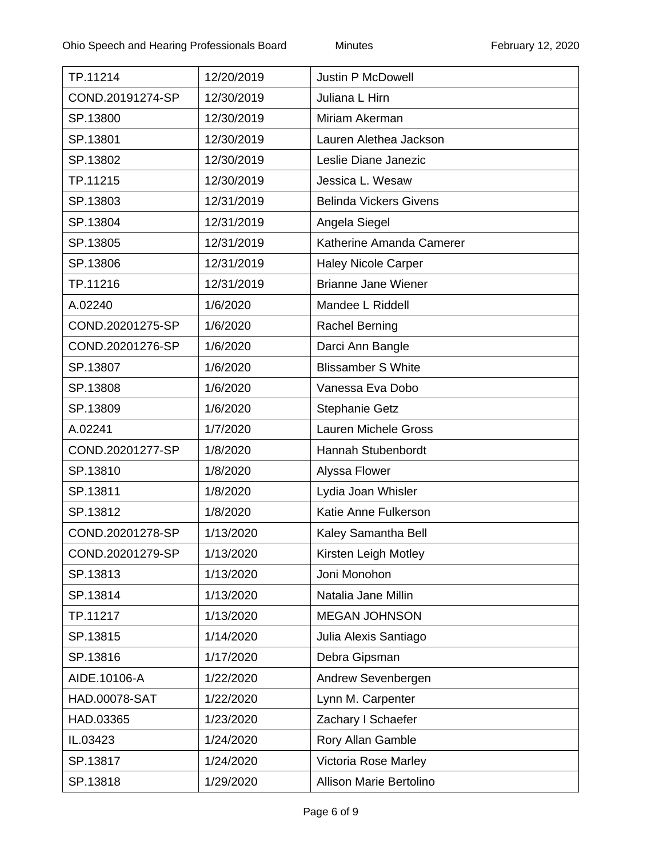| TP.11214         | 12/20/2019 | <b>Justin P McDowell</b>      |
|------------------|------------|-------------------------------|
| COND.20191274-SP | 12/30/2019 | Juliana L Hirn                |
| SP.13800         | 12/30/2019 | Miriam Akerman                |
| SP.13801         | 12/30/2019 | Lauren Alethea Jackson        |
| SP.13802         | 12/30/2019 | Leslie Diane Janezic          |
| TP.11215         | 12/30/2019 | Jessica L. Wesaw              |
| SP.13803         | 12/31/2019 | <b>Belinda Vickers Givens</b> |
| SP.13804         | 12/31/2019 | Angela Siegel                 |
| SP.13805         | 12/31/2019 | Katherine Amanda Camerer      |
| SP.13806         | 12/31/2019 | <b>Haley Nicole Carper</b>    |
| TP.11216         | 12/31/2019 | <b>Brianne Jane Wiener</b>    |
| A.02240          | 1/6/2020   | Mandee L Riddell              |
| COND.20201275-SP | 1/6/2020   | <b>Rachel Berning</b>         |
| COND.20201276-SP | 1/6/2020   | Darci Ann Bangle              |
| SP.13807         | 1/6/2020   | <b>Blissamber S White</b>     |
| SP.13808         | 1/6/2020   | Vanessa Eva Dobo              |
| SP.13809         | 1/6/2020   | <b>Stephanie Getz</b>         |
| A.02241          | 1/7/2020   | <b>Lauren Michele Gross</b>   |
| COND.20201277-SP | 1/8/2020   | Hannah Stubenbordt            |
| SP.13810         | 1/8/2020   | Alyssa Flower                 |
| SP.13811         | 1/8/2020   | Lydia Joan Whisler            |
| SP.13812         | 1/8/2020   | Katie Anne Fulkerson          |
| COND.20201278-SP | 1/13/2020  | Kaley Samantha Bell           |
| COND.20201279-SP | 1/13/2020  | Kirsten Leigh Motley          |
| SP.13813         | 1/13/2020  | Joni Monohon                  |
| SP.13814         | 1/13/2020  | Natalia Jane Millin           |
| TP.11217         | 1/13/2020  | <b>MEGAN JOHNSON</b>          |
| SP.13815         | 1/14/2020  | Julia Alexis Santiago         |
| SP.13816         | 1/17/2020  | Debra Gipsman                 |
| AIDE.10106-A     | 1/22/2020  | Andrew Sevenbergen            |
| HAD.00078-SAT    | 1/22/2020  | Lynn M. Carpenter             |
| HAD.03365        | 1/23/2020  | Zachary I Schaefer            |
| IL.03423         | 1/24/2020  | Rory Allan Gamble             |
| SP.13817         | 1/24/2020  | Victoria Rose Marley          |
| SP.13818         | 1/29/2020  | Allison Marie Bertolino       |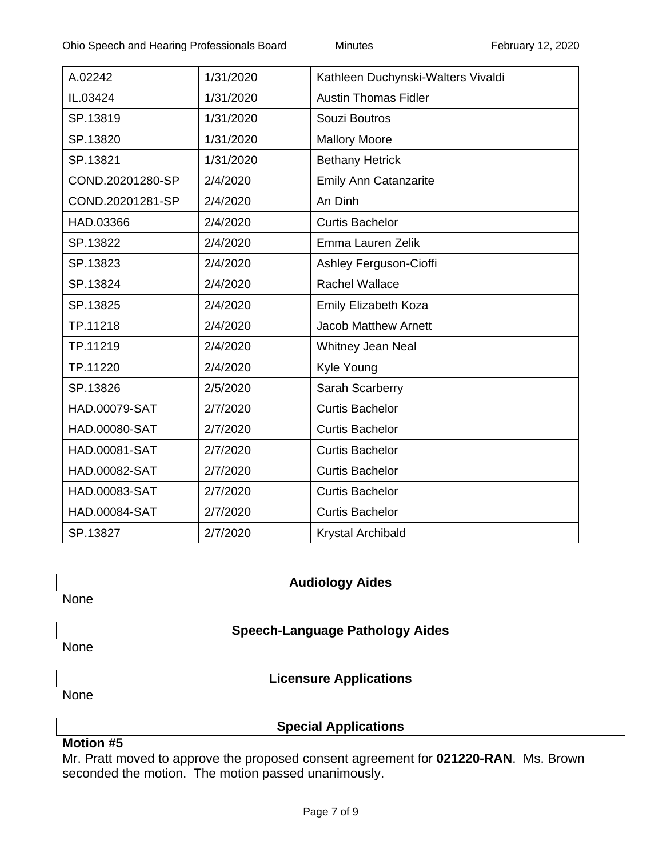| A.02242              | 1/31/2020 | Kathleen Duchynski-Walters Vivaldi |
|----------------------|-----------|------------------------------------|
| IL.03424             | 1/31/2020 | <b>Austin Thomas Fidler</b>        |
| SP.13819             | 1/31/2020 | Souzi Boutros                      |
| SP.13820             | 1/31/2020 | <b>Mallory Moore</b>               |
| SP.13821             | 1/31/2020 | <b>Bethany Hetrick</b>             |
| COND.20201280-SP     | 2/4/2020  | <b>Emily Ann Catanzarite</b>       |
| COND.20201281-SP     | 2/4/2020  | An Dinh                            |
| HAD.03366            | 2/4/2020  | <b>Curtis Bachelor</b>             |
| SP.13822             | 2/4/2020  | Emma Lauren Zelik                  |
| SP.13823             | 2/4/2020  | Ashley Ferguson-Cioffi             |
| SP.13824             | 2/4/2020  | <b>Rachel Wallace</b>              |
| SP.13825             | 2/4/2020  | Emily Elizabeth Koza               |
| TP.11218             | 2/4/2020  | <b>Jacob Matthew Arnett</b>        |
| TP.11219             | 2/4/2020  | Whitney Jean Neal                  |
| TP.11220             | 2/4/2020  | Kyle Young                         |
| SP.13826             | 2/5/2020  | Sarah Scarberry                    |
| HAD.00079-SAT        | 2/7/2020  | <b>Curtis Bachelor</b>             |
| <b>HAD.00080-SAT</b> | 2/7/2020  | <b>Curtis Bachelor</b>             |
| HAD.00081-SAT        | 2/7/2020  | <b>Curtis Bachelor</b>             |
| HAD.00082-SAT        | 2/7/2020  | <b>Curtis Bachelor</b>             |
| HAD.00083-SAT        | 2/7/2020  | <b>Curtis Bachelor</b>             |
| <b>HAD.00084-SAT</b> | 2/7/2020  | <b>Curtis Bachelor</b>             |
| SP.13827             | 2/7/2020  | Krystal Archibald                  |

# **Audiology Aides**

None

## **Speech-Language Pathology Aides**

None

**Licensure Applications**

None

**Special Applications**

#### **Motion #5**

Mr. Pratt moved to approve the proposed consent agreement for **021220-RAN**. Ms. Brown seconded the motion. The motion passed unanimously.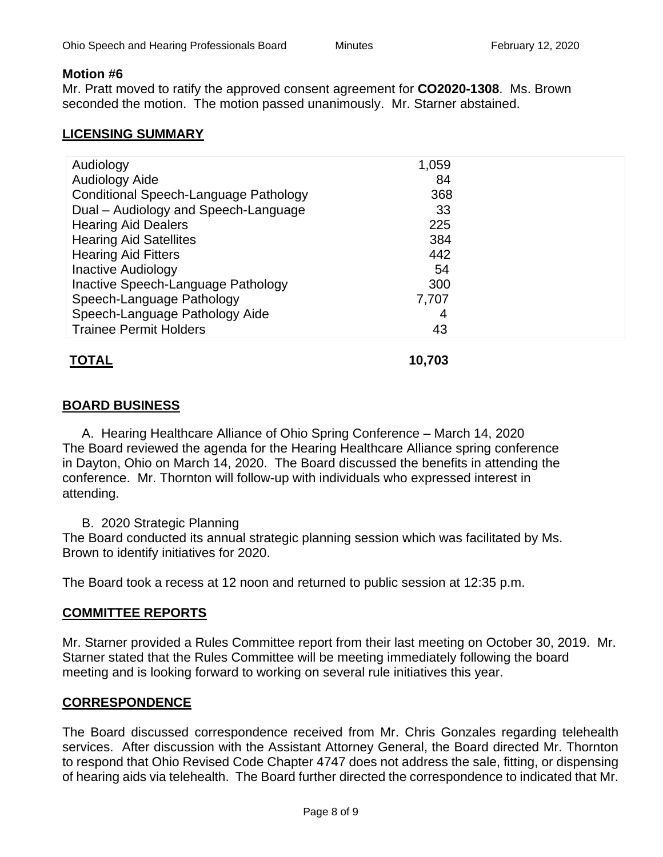#### **Motion #6**

Mr. Pratt moved to ratify the approved consent agreement for **[CO2020-1308](https://elicenseohio.my.salesforce.com/a0Ct0000002H7lV)**. Ms. Brown seconded the motion. The motion passed unanimously. Mr. Starner abstained.

## **LICENSING SUMMARY**

| Audiology                             | 1,059 |  |
|---------------------------------------|-------|--|
| <b>Audiology Aide</b>                 | 84    |  |
| Conditional Speech-Language Pathology | 368   |  |
| Dual - Audiology and Speech-Language  | 33    |  |
| <b>Hearing Aid Dealers</b>            | 225   |  |
| <b>Hearing Aid Satellites</b>         | 384   |  |
| <b>Hearing Aid Fitters</b>            | 442   |  |
| <b>Inactive Audiology</b>             | 54    |  |
| Inactive Speech-Language Pathology    | 300   |  |
| Speech-Language Pathology             | 7,707 |  |
| Speech-Language Pathology Aide        | 4     |  |
| <b>Trainee Permit Holders</b>         | 43    |  |
|                                       |       |  |

# **TOTAL 10,703**

## **BOARD BUSINESS**

A. Hearing Healthcare Alliance of Ohio Spring Conference – March 14, 2020 The Board reviewed the agenda for the Hearing Healthcare Alliance spring conference in Dayton, Ohio on March 14, 2020. The Board discussed the benefits in attending the conference. Mr. Thornton will follow-up with individuals who expressed interest in attending.

B. 2020 Strategic Planning

The Board conducted its annual strategic planning session which was facilitated by Ms. Brown to identify initiatives for 2020.

The Board took a recess at 12 noon and returned to public session at 12:35 p.m.

## **COMMITTEE REPORTS**

Mr. Starner provided a Rules Committee report from their last meeting on October 30, 2019. Mr. Starner stated that the Rules Committee will be meeting immediately following the board meeting and is looking forward to working on several rule initiatives this year.

## **CORRESPONDENCE**

The Board discussed correspondence received from Mr. Chris Gonzales regarding telehealth services. After discussion with the Assistant Attorney General, the Board directed Mr. Thornton to respond that Ohio Revised Code Chapter 4747 does not address the sale, fitting, or dispensing of hearing aids via telehealth. The Board further directed the correspondence to indicated that Mr.